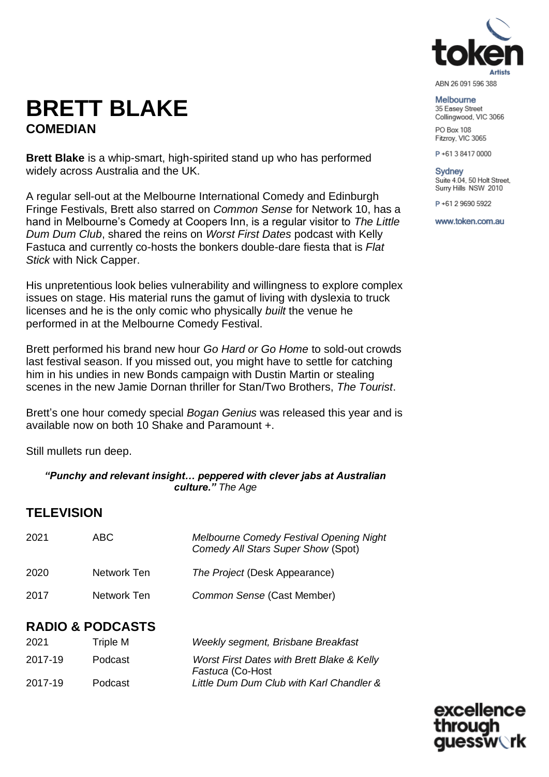

#### ABN 26 091 596 388

Melbourne 35 Easey Street Collingwood, VIC 3066 PO Box 108

Fitzroy, VIC 3065

P+61384170000

Sydney Suite 4.04, 50 Holt Street, Surry Hills NSW 2010

P+61 2 9690 5922

www.token.com.au

excellence

uessw∖rk

through

# **BRETT BLAKE COMEDIAN**

**Brett Blake** is a whip-smart, high-spirited stand up who has performed widely across Australia and the UK.

A regular sell-out at the Melbourne International Comedy and Edinburgh Fringe Festivals, Brett also starred on *Common Sense* for Network 10, has a hand in Melbourne's Comedy at Coopers Inn, is a regular visitor to *The Little Dum Dum Club*, shared the reins on *Worst First Dates* podcast with Kelly Fastuca and currently co-hosts the bonkers double-dare fiesta that is *Flat Stick* with Nick Capper.

His unpretentious look belies vulnerability and willingness to explore complex issues on stage. His material runs the gamut of living with dyslexia to truck licenses and he is the only comic who physically *built* the venue he performed in at the Melbourne Comedy Festival.

Brett performed his brand new hour *[Go](https://comedy.com.au/tour/brett-blake-2021/) Hard or Go Home* to sold-out crowds last festival season. If you missed out, you might have to settle for catching him in his undies in new Bonds campaign with Dustin Martin or stealing scenes in the new Jamie Dornan thriller for Stan/Two Brothers, *The Tourist*.

Brett's one hour comedy special *Bogan Genius* was released this year and is available now on both 10 Shake and Paramount +.

Still mullets run deep.

#### *"Punchy and relevant insight… peppered with clever jabs at Australian culture." The Age*

# **TELEVISION**

| 2021 | ABC.        | <b>Melbourne Comedy Festival Opening Night</b><br>Comedy All Stars Super Show (Spot) |
|------|-------------|--------------------------------------------------------------------------------------|
| 2020 | Network Ten | The Project (Desk Appearance)                                                        |
| 2017 | Network Ten | Common Sense (Cast Member)                                                           |

# **RADIO & PODCASTS**

| 2021    | Triple M | Weekly segment, Brisbane Breakfast                                        |
|---------|----------|---------------------------------------------------------------------------|
| 2017-19 | Podcast  | <b>Worst First Dates with Brett Blake &amp; Kelly</b><br>Fastuca (Co-Host |
| 2017-19 | Podcast  | Little Dum Dum Club with Karl Chandler &                                  |